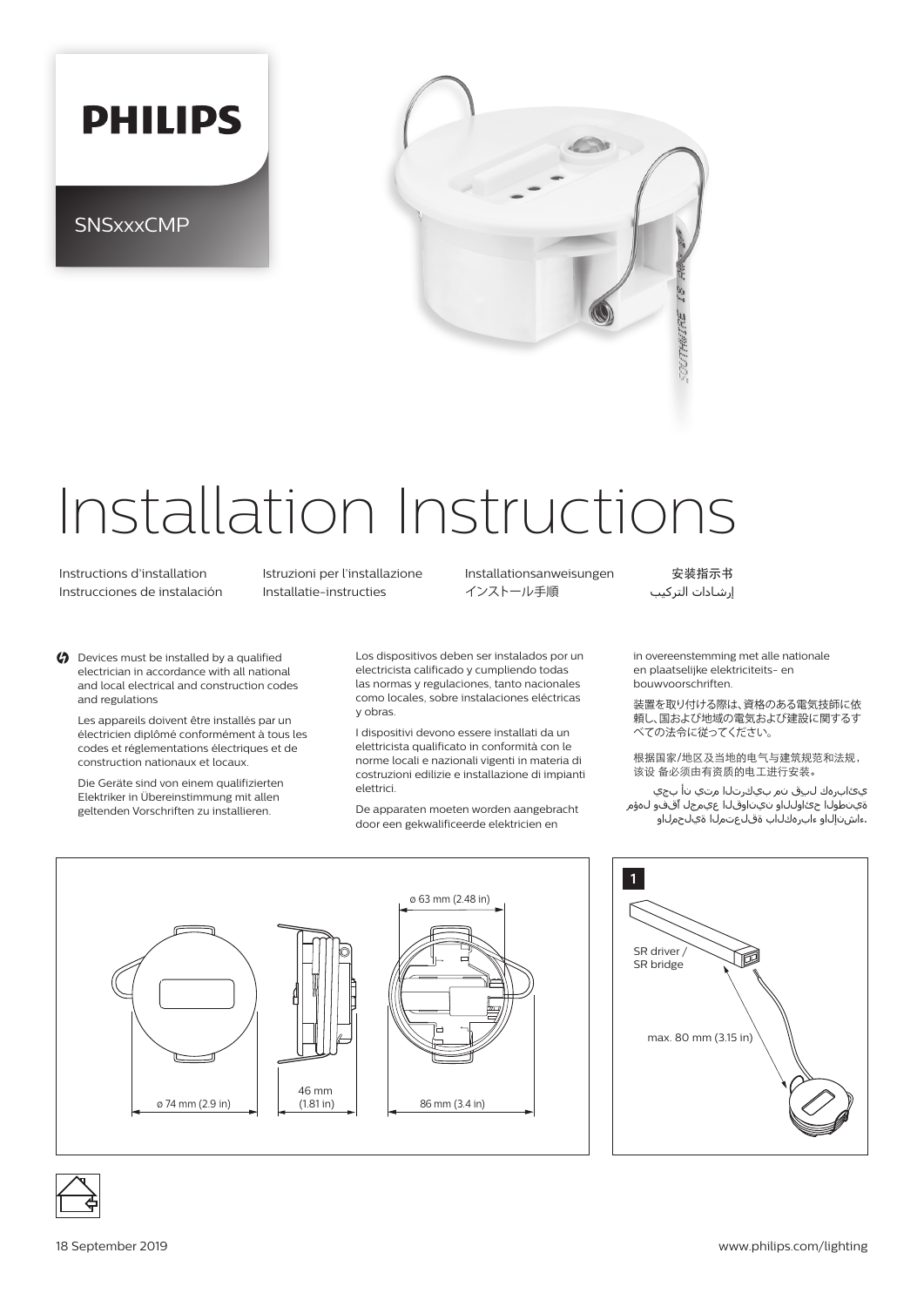

**SNSxxxCMP** 



## Installation Instructions

 Instructions d'installation Istruzioni per l'installazione Installationsanweisungen 安装指示书 Instrucciones de instalación Installatie-instructies インストール手順 التركيب إرشادات

 $\bigcirc$  Devices must be installed by a qualified electrician in accordance with all national and local electrical and construction codes and regulations

Les appareils doivent être installés par un électricien diplômé conformément à tous les codes et réglementations électriques et de construction nationaux et locaux.

Die Geräte sind von einem qualifizierten Elektriker in Übereinstimmung mit allen geltenden Vorschriften zu installieren.

Los dispositivos deben ser instalados por un electricista calificado y cumpliendo todas las normas y regulaciones, tanto nacionales como locales, sobre instalaciones eléctricas y obras.

I dispositivi devono essere installati da un elettricista qualificato in conformità con le norme locali e nazionali vigenti in materia di costruzioni edilizie e installazione di impianti elettrici.

De apparaten moeten worden aangebracht door een gekwalificeerde elektricien en

in overeenstemming met alle nationale en plaatselijke elektriciteits- en bouwvoorschriften.

装置を取り付ける際は、資格のある電気技師に依 頼し、国および地域の電気および建設に関するす べての法令に従ってください。

根据国家/地区及当地的电气与建筑规范和法规, 该设 备必须由有资质的电工进行安装。

 يئابرهك لبِق نم بيكرتلا متي نأ بجي ةينطولا حئاوللاو نيناوقلا عيمجل اًقفو لهؤم .ءاشنإلاو ءابرهكلاب ةقلعتملا ةيلحملاو